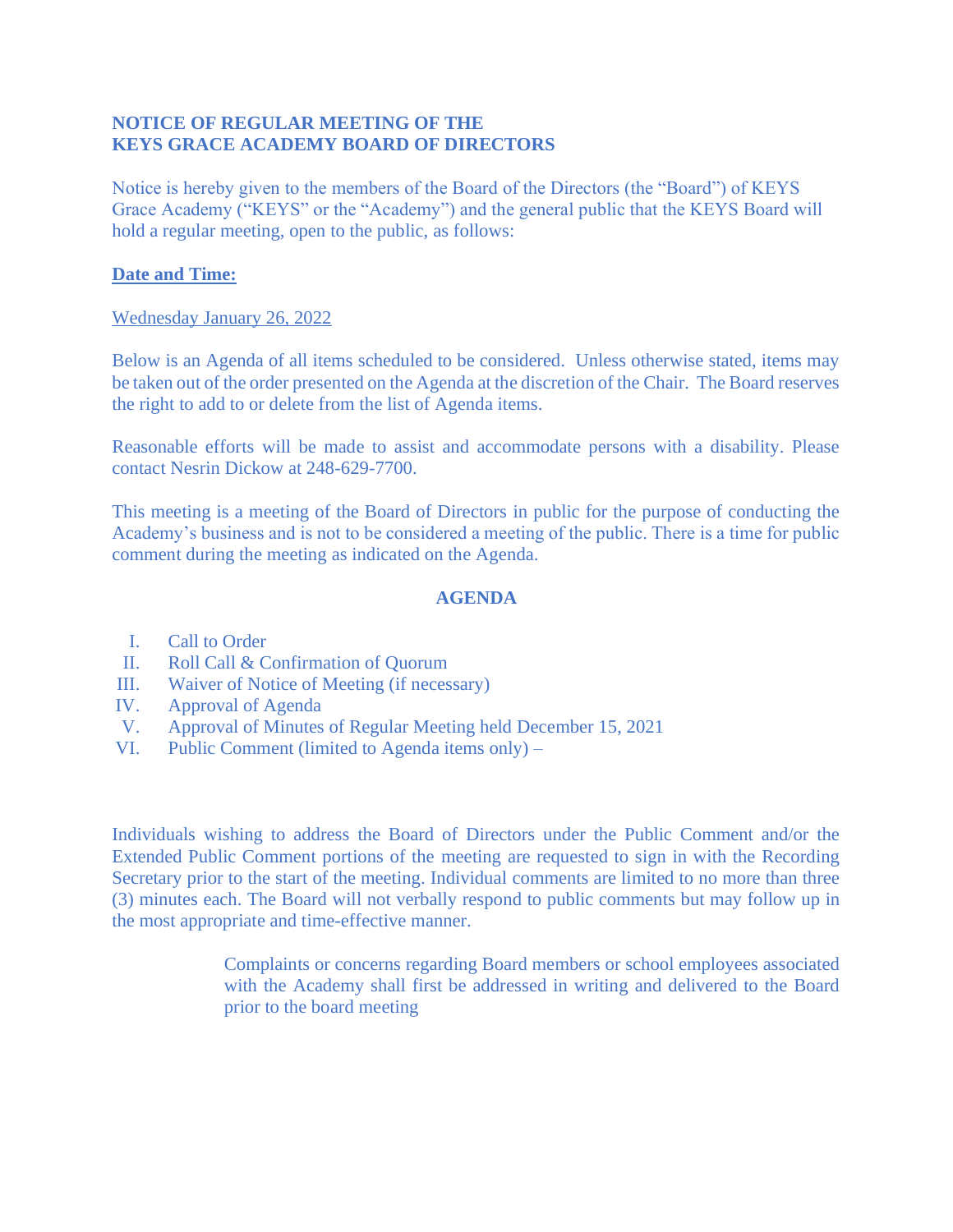## **NOTICE OF REGULAR MEETING OF THE KEYS GRACE ACADEMY BOARD OF DIRECTORS**

Notice is hereby given to the members of the Board of the Directors (the "Board") of KEYS Grace Academy ("KEYS" or the "Academy") and the general public that the KEYS Board will hold a regular meeting, open to the public, as follows:

## **Date and Time:**

## Wednesday January 26, 2022

Below is an Agenda of all items scheduled to be considered. Unless otherwise stated, items may be taken out of the order presented on the Agenda at the discretion of the Chair. The Board reserves the right to add to or delete from the list of Agenda items.

Reasonable efforts will be made to assist and accommodate persons with a disability. Please contact Nesrin Dickow at 248-629-7700.

This meeting is a meeting of the Board of Directors in public for the purpose of conducting the Academy's business and is not to be considered a meeting of the public. There is a time for public comment during the meeting as indicated on the Agenda.

## **AGENDA**

- I. Call to Order
- II. Roll Call & Confirmation of Quorum
- III. Waiver of Notice of Meeting (if necessary)
- IV. Approval of Agenda
- V. Approval of Minutes of Regular Meeting held December 15, 2021
- VI. Public Comment (limited to Agenda items only) –

Individuals wishing to address the Board of Directors under the Public Comment and/or the Extended Public Comment portions of the meeting are requested to sign in with the Recording Secretary prior to the start of the meeting. Individual comments are limited to no more than three (3) minutes each. The Board will not verbally respond to public comments but may follow up in the most appropriate and time-effective manner.

> Complaints or concerns regarding Board members or school employees associated with the Academy shall first be addressed in writing and delivered to the Board prior to the board meeting